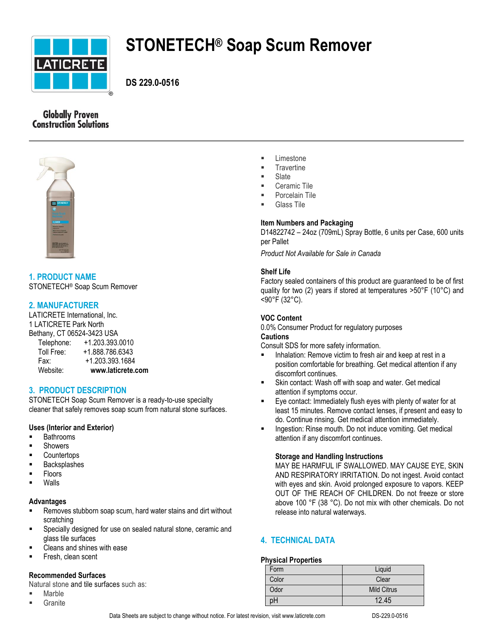

# **STONETECH® Soap Scum Remover**

**DS 229.0-0516**

# **Globally Proven Construction Solutions**



**1. PRODUCT NAME** STONETECH® Soap Scum Remover

# **2. MANUFACTURER**

LATICRETE International, Inc. 1 LATICRETE Park North Bethany, CT 06524-3423 USA

| Website:   | www.laticrete.com |
|------------|-------------------|
| Fax:       | +1.203.393.1684   |
| Toll Free: | +1.888.786.6343   |
| Telephone: | +1.203.393.0010   |

# **3. PRODUCT DESCRIPTION**

STONETECH Soap Scum Remover is a ready-to-use specialty cleaner that safely removes soap scum from natural stone surfaces.

# **Uses (Interior and Exterior)**

- **Bathrooms**
- Showers
- **Countertops**
- **Backsplashes**
- Floors
- Walls

# **Advantages**

- Removes stubborn soap scum, hard water stains and dirt without scratching
- Specially designed for use on sealed natural stone, ceramic and glass tile surfaces
- Cleans and shines with ease
- Fresh, clean scent

# **Recommended Surfaces**

Natural stone and tile surfaces such as:

- Marble
- **Granite**
- **Exercise**
- **Travertine**
- Slate
- Ceramic Tile
- Porcelain Tile
- Glass Tile

# **Item Numbers and Packaging**

D14822742 – 24oz (709mL) Spray Bottle, 6 units per Case, 600 units per Pallet

*Product Not Available for Sale in Canada*

# **Shelf Life**

Factory sealed containers of this product are guaranteed to be of first quality for two (2) years if stored at temperatures >50°F (10°C) and <90°F (32°C).

# **VOC Content**

0.0% Consumer Product for regulatory purposes

# **Cautions**

Consult SDS for more safety information.

- Inhalation: Remove victim to fresh air and keep at rest in a position comfortable for breathing. Get medical attention if any discomfort continues.
- Skin contact: Wash off with soap and water. Get medical attention if symptoms occur.
- Eye contact: Immediately flush eyes with plenty of water for at least 15 minutes. Remove contact lenses, if present and easy to do. Continue rinsing. Get medical attention immediately.
- Ingestion: Rinse mouth. Do not induce vomiting. Get medical attention if any discomfort continues.

# **Storage and Handling Instructions**

MAY BE HARMFUL IF SWALLOWED. MAY CAUSE EYE, SKIN AND RESPIRATORY IRRITATION. Do not ingest. Avoid contact with eyes and skin. Avoid prolonged exposure to vapors. KEEP OUT OF THE REACH OF CHILDREN. Do not freeze or store above 100 °F (38 °C). Do not mix with other chemicals. Do not release into natural waterways.

# **4. TECHNICAL DATA**

# **Physical Properties**

| Form  | Liquid             |
|-------|--------------------|
| Color | Clear              |
| Odor  | <b>Mild Citrus</b> |
| рH    | 12.45              |